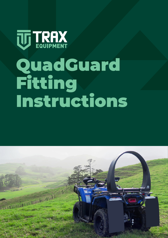

# QuadGuard Fitting Instructions

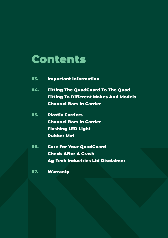## Contents

- 03. ..............Important Information
- 04. ............Fitting The QuadGuard To The Quad Fitting To Different Makes And Models Channel Bars In Carrier
- 05. Dlastic Carriers Channel Bars In Carrier Flashing LED Light Rubber Mat
- 06. ..........Care For Your QuadGuard Check After A Crash Ag-Tech Industries Ltd Disclaimer
- 07. Warranty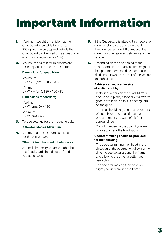# Important Information

- **1.** Maximum weight of vehicle that the QuadGuard is suitable for is up to 350kg and the only type of vehicle the QuadGuard can be used on is a quad bike (commonly known as an ATV).
- 2. Maximum and minimum dimensions for the quad bike and its rear carrier;

## Dimensions for quad bikes;

Maximum L x W x H (cm). 250 x 140 x 130

Minimum  $L \times W \times H$  (cm). 180  $\times$  100  $\times$  80

## Dimensions for carriers;

Maximum L x W (cm). 50 x 130

Minimum L x W (cm). 35 x 90

**3.** Torque settings for the mounting bolts;

## 7 Newton Metres Maximum

4. Minimum and maximum bar sizes for the carrier rack;

## 20mm-25mm for steel tubular racks

All steel channel types are suitable, but the QuadGuard should not be fitted to plastic types.

- **5.** If the QuadGuard is fitted with a neoprene cover as standard, at no time should the cover be removed. If damaged, the cover must be replaced before use of the vehicle.
- **6.** Depending on the positioning of the QuadGuard on the quad and the height of the operator there could be rear quarter blind spots towards the rear of the vehicle on both sides.

## A driver can reduce the size of a blind spot by**:**

- Installing mirrors on the quad. Mirrors should be in place, especially if a reverse gear is available, as this is a safeguard on the quad.
- Training should be given to all operators of quad bikes and at all times the operator must be aware of his/her surroundings.
- Do not manoeuvre the quad if you are unable to check the blind spots.

## Operator training should be provided for the following**:**

- The operator turning their head in the direction of the obstruction allowing the driver to see better around the frame and allowing the driver a better depth perception.
- The operator moving their position slightly to view around the frame.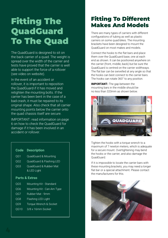## Fitting The **QuadGuard** To The Quad

The QuadGuard is designed to sit on the back carrier of a quad. The weight is spread over the width of the carrier and tests have proved that the carrier is well able to support the force of a rollover (see video on website).

In the event of an accident or rollover, it is important to reposition the QuadGuard if it has moved and retighten the mounting bolts. If the carrier has been bent in the case of a bad crash, it must be repaired to its original shape. Also check that all carrier mounting points below the carrier onto the quad chassis itself are secure.

IMPORTANT: read information on page 6 on how to check the QuadGuard for damage if it has been involved in an accident or rollover.

## Code Description

- QG1 QuadGuard & Mounting
- QG2 QuadGuard & Flashing LED
- QG3 QuadGuard & Rubber Mat & LED Light

## Parts & Extras

- QG5 Mounting Kit Standard
- QG6 Mounting Kit Can-Am Type
- QG7 Rubber Mat 9mm
- QG8 Flashing LED Light
- QG9 Torque Wrench & Socket
- QG10 3/8 x 16mm Socket

## Fitting To Different Makes And Models

There are many types of carriers with different configurations of tubing as well as plastic carriers on some quad bikes. The mounting brackets have been designed to mount the QuadGuard on most makes and models.

Connect the hooks to the flat bars and place them over the QuadGuard base, one at each end as shown. It can be positioned anywhere on the carrier (front, middle, back) but be sure the QuadGuard is centred on the carrier widthways. The flat bar can be swivelled at any angle so that the hooks can best connect to the carrier bars. The hooks can rotate 360° to any position.

IMPORTANT**:** The gap between the mounting bars in the middle should be no less than 320mm as shown below.



Tighten the hooks with a torque wrench to a maximum of 7 newton meters, which is adequate for a secure mount. Overtightening may bend the hooks or the carrier, and also damage the QuadGuard.

If it is impossible to locate the carrier bars with these mounting brackets, you may need a longer flat bar or a special attachment. Please contact the manufacturers for this.

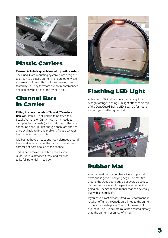

## Plastic Carriers

Can-Am & Polaris quad bikes with plastic carriers**:**

The QuadGuard mounting system is not designed to attach to a plastic carrier. There are other ways and means of doing this, but they have not been tested by us. They therefore are not recommended and can only be fitted at the owner's risk.

## Channel Bars In Carrier

#### Fitting to some models of Suzuki / Yamaha /

Can-Am**:** If this QuadGuard is to be fitted to a Suzuki, Yamaha or Can-Am Carrier, it needs to clamp to the channels (not round pipe). If the hook cannot be done up tight enough, there are shorter ones available to fix this problem. Please contact the manufacturers for this.

It is best to have at least one hook clamped around the round tube (either at the back or front of the carrier), not both hooked to the channel.

This is not a major issue, but ensures your QuadGuard is attached firmly, and will work to its full potential if need be.



## Flashing LED Light

A flashing LED light can be added at any time. A bright orange flashing LED light attaches on top of the QuadGuard. Being LED it can go for hours without your battery going flat.



## Rubber Mat

A rubber mat can be purchased as an optional extra and is good if carrying dogs. The mat fits around the QuadGuard but is cut oversize so it can be trimmed down to fit the particular carrier it is going on. The 9mm solid rubber mat can be easily cut with a sharp knife.

If you have a mat already fitted, we recommend it is taken off and the QuadGuard fitted to the carrier in the appropriate place. Then cut the mat to fit around it. The QuadGuard must be secured directly onto the carrier, not on top of a mat.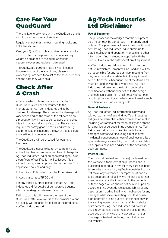## Care For Your **QuadGuard**

There is little to go wrong with the QuadGuard and it should give many years of service.

Regularly check that the four mounting hooks and bolts are secure.

Keep your QuadGuard clean and remove any buildup of mud etc. to help avoid extra unnecessary weight being added to the quad. Check the neoprene cover and replace if damaged.

The QuadGuard currently has a 5 year lifespan. If you're unsure of the age of one, please visit www.quadguard.com for a list of the serial numbers and the date they were sold.

## Check After A Crash

After a crash or rollover, we advise that the QuadGuard is replaced or returned to the manufacturer, Ag-Tech Industries Ltd, to be checked for damage. The extent of the damage will vary depending on the force of the rollover, so as a precaution it will need to be replaced or checked it is still operational and safe to use. The same is required for safety gear, helmets, and lifesaving equipment, as this assures the owner that it is safe and certified to continue using.

The QuadGuard will be checked for wear and fractures.

The QuadGuard needs to be returned freight-paid and will be checked and returned free of charge by Ag-Tech Industries Ltd or an appointed agent. Also, a certificate of certification will be issued if it is without damage and approved for further use. This applies to New Zealand only.

In the UK and EU contact Handley Enterprises Ltd.

In Australia contact TIFCO Ltd.

For any other countries please contact Ag-Tech Industries Ltd for details of our approved agents who can undergo a safe use inspection.

Failing to do this will mean further use of the QuadGuard after a rollover is at the owner's risk and no liability will be taken for failure of the product by Ag-Tech Industries Ltd.

## Ag-Tech Industries Ltd Disclaimer

#### Use of Equipment

The purchaser acknowledges that the equipment sold herein may be dangerous if improperly used or fitted. The purchaser acknowledges that it must contact Ag-Tech Industries Ltd to obtain up-todate installation and operation manuals and other information if not included or supplied with the product to ensure the safe operation of equipment.

Ag-Tech Industries Ltd has no control over the nature in which equipment will be used and will not be responsible for any loss or injury resulting from use, defects or alleged defects in the equipment sold or from the subsequent use of the items and must be used only at the owner's risk. Ag-Tech Industries Ltd reserves the right to undertake modifications without prior notice to the design and technical equipment at all times without this resulting in any obligation whatsoever to make such modifications to units already sold.

#### General Business

Ag-Tech Industries Ltd information is provided without warranty of any kind. Ag-Tech Industries Ltd gives no warranties either expressed or implied, including warranties of merchantability and fitness for a particular purpose. In no event shall Ag-Tech Industries Ltd or its suppliers be liable for any damages whatsoever including direct, indirect, incidental, consequential, loss of business profits or special damages, even if Ag-Tech Industries Ltd or its suppliers have been advised of the possibility of such damages.

#### Internet Site

The information (text and images) contained on this website is for information purposes and is published in good faith. Whilst every care has been taken in its preparation, Ag-Tech Industries Ltd does not make any warranties nor representations as to its accuracy or reliability. We neither accept nor assume any reliability in relation to the contents of these pages which should not be relied upon as accurate. In no event do we accept liability of any description including liability for negligence for any damages whatsoever resulting from loss of use, data or profits arising out of or in connection with the viewing, use or performance of this website or its contents. Ag-Tech Industries Ltd do not in any circumstances accept responsibility for the accuracy or otherwise of any advertisement or message published on the Ag-Tech Industries Ltd website.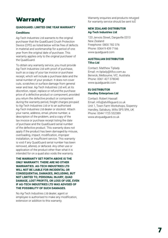## Warranty

## QUADGUARD**:** LIMITED ONE YEAR WARRANTY

#### **Conditions**

Ag-Tech Industries Ltd warrants to the original purchaser that the QuadGuard Crush Protection Device (CPD) as listed below will be free of defects in material and workmanship for a period of one year from the original date of purchase. This warranty applies only to the original purchaser of the QuadGuard.

To obtain any warranty service, you must provide Ag-Tech Industries Ltd with proof of purchase, such as a copy of your tax invoice or purchase receipt, which will include a purchase date and the serial number of your product. It does not cover cuts, scratches or surface damage from general wear and tear. Ag-Tech Industries Ltd will, at its discretion, repair, replace or refund the purchase price of a defective product or component, provided you return the defective product or component during the warranty period, freight charges pre-paid to Ag-Tech Industries Ltd or to an authorised Ag-Tech Industries Ltd dealer or stockist. Attach your name, address, email, phone number, a description of the problem, and a copy of the tax invoice or purchase receipt listing the date of purchase and the QuadGuard serial number of the defective product. This warranty does not apply if the product has been damaged by misuse, overloading, impact, modification, improper installation, or insufficient service. This warranty is void if any QuadGuard serial number has been removed, altered, or defaced. Any other use or application of the product other than what it is intended for on a quad also voids the warranty.

THE WARRANTY SET FORTH ABOVE IS THE ONLY WARRANTY. THERE ARE NO OTHER WARRANTIES. AG-TECH INDUSTRIES LTD. WILL NOT BE LIABLE FOR INCIDENTAL OR CONSEQUENTIAL DAMAGES, INCLUDING, BUT NOT LIMITED TO, PERSONAL INJURY, QUAD DAMAGE, LOST PROFITS, OR LOSS OF USE, EVEN IF AG-TECH INDUSTRIES LTD WAS ADVISED OF THE POSSIBILITY OF SUCH DAMAGES.

No Ag-Tech Industries Ltd dealer, agent or employee is authorised to make any modification, extension or addition to this warranty.

Warranty enquiries and products returned<br>for warranty service should be sent to:

#### NEW ZEALAND DISTRIBUTOR Ag-Tech Industries Ltd

120 Jervois Street, Dargaville 0310 New Zealand Freephone: 0800 782 376 Phone: 0064 9 439 7166 www.quadguard.com

#### AUSTRALIAN DISTRIBUTOR Tifco Ltd

Contact: Matthew Tiplady Email: m.tiplady@tifco.com.au Berwick, Melbourne, VIC. Australia Phone: 0061 427 378040 www.quadguards.com

#### EU DISTRIBUTOR Handley Enterprises Ltd

Contact: Robert Hassall Email: info@atvlifeguard.co.uk Unit 1, Town Farm Workshops, Sixpenny Handley, Salisbury, Wilts SP5 5PA, UK Phone: 0044 1725 552389 www.atvquadguard.co.uk